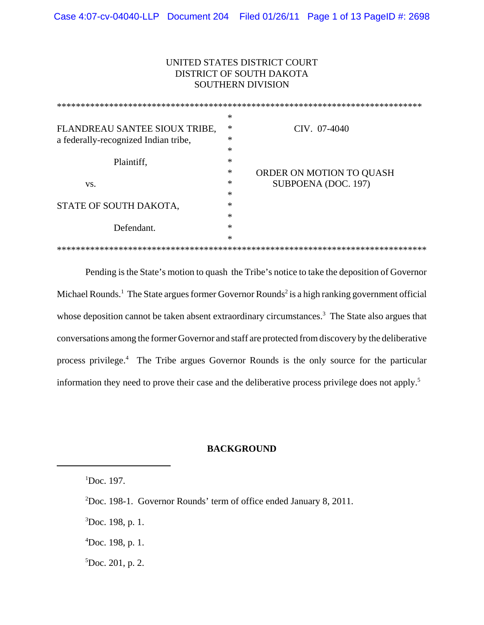# UNITED STATES DISTRICT COURT DISTRICT OF SOUTH DAKOTA SOUTHERN DIVISION

|                                      | ∗      |                          |
|--------------------------------------|--------|--------------------------|
| FLANDREAU SANTEE SIOUX TRIBE,        | ∗      | CIV. 07-4040             |
| a federally-recognized Indian tribe, | *      |                          |
|                                      | *      |                          |
| Plaintiff,                           | $\ast$ |                          |
|                                      | ∗      | ORDER ON MOTION TO QUASH |
| VS.                                  | $\ast$ | SUBPOENA (DOC. 197)      |
|                                      | *      |                          |
| STATE OF SOUTH DAKOTA,               | $\ast$ |                          |
|                                      | $\ast$ |                          |
| Defendant.                           | *      |                          |
|                                      | $\ast$ |                          |
|                                      |        |                          |

Pending is the State's motion to quash the Tribe's notice to take the deposition of Governor Michael Rounds.<sup>1</sup> The State argues former Governor Rounds<sup>2</sup> is a high ranking government official whose deposition cannot be taken absent extraordinary circumstances.<sup>3</sup> The State also argues that conversations among the former Governor and staff are protected from discovery by the deliberative process privilege.<sup>4</sup> The Tribe argues Governor Rounds is the only source for the particular information they need to prove their case and the deliberative process privilege does not apply.5

#### **BACKGROUND**

 ${}^{5}$ Doc. 201, p. 2.

 ${}^{1}$ Doc. 197.

<sup>&</sup>lt;sup>2</sup>Doc. 198-1. Governor Rounds' term of office ended January 8, 2011.

 ${}^{3}$ Doc. 198, p. 1.

 $^{4}$ Doc. 198, p. 1.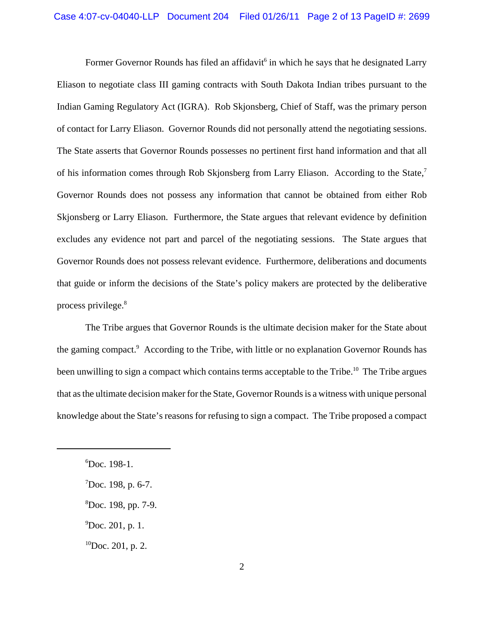Former Governor Rounds has filed an affidavit<sup>6</sup> in which he says that he designated Larry Eliason to negotiate class III gaming contracts with South Dakota Indian tribes pursuant to the Indian Gaming Regulatory Act (IGRA). Rob Skjonsberg, Chief of Staff, was the primary person of contact for Larry Eliason. Governor Rounds did not personally attend the negotiating sessions. The State asserts that Governor Rounds possesses no pertinent first hand information and that all of his information comes through Rob Skjonsberg from Larry Eliason. According to the State,<sup>7</sup> Governor Rounds does not possess any information that cannot be obtained from either Rob Skjonsberg or Larry Eliason. Furthermore, the State argues that relevant evidence by definition excludes any evidence not part and parcel of the negotiating sessions. The State argues that Governor Rounds does not possess relevant evidence. Furthermore, deliberations and documents that guide or inform the decisions of the State's policy makers are protected by the deliberative process privilege.8

The Tribe argues that Governor Rounds is the ultimate decision maker for the State about the gaming compact.<sup>9</sup> According to the Tribe, with little or no explanation Governor Rounds has been unwilling to sign a compact which contains terms acceptable to the Tribe.<sup>10</sup> The Tribe argues that as the ultimate decision maker for the State, Governor Rounds is a witness with unique personal knowledge about the State's reasons for refusing to sign a compact. The Tribe proposed a compact

 $^{9}$ Doc. 201, p. 1.

 ${}^{10}$ Doc. 201, p. 2.

<sup>6</sup> Doc. 198-1.

 $7$ Doc. 198, p. 6-7.

<sup>8</sup> Doc. 198, pp. 7-9.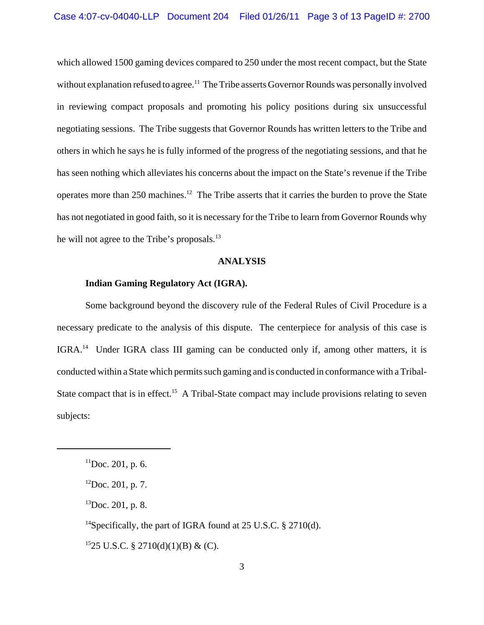which allowed 1500 gaming devices compared to 250 under the most recent compact, but the State without explanation refused to agree.<sup>11</sup> The Tribe asserts Governor Rounds was personally involved in reviewing compact proposals and promoting his policy positions during six unsuccessful negotiating sessions. The Tribe suggests that Governor Rounds has written letters to the Tribe and others in which he says he is fully informed of the progress of the negotiating sessions, and that he has seen nothing which alleviates his concerns about the impact on the State's revenue if the Tribe operates more than 250 machines.12 The Tribe asserts that it carries the burden to prove the State has not negotiated in good faith, so it is necessary for the Tribe to learn from Governor Rounds why he will not agree to the Tribe's proposals.<sup>13</sup>

#### **ANALYSIS**

#### **Indian Gaming Regulatory Act (IGRA).**

Some background beyond the discovery rule of the Federal Rules of Civil Procedure is a necessary predicate to the analysis of this dispute. The centerpiece for analysis of this case is IGRA.14 Under IGRA class III gaming can be conducted only if, among other matters, it is conducted within a State which permits such gaming and is conducted in conformance with a Tribal-State compact that is in effect.<sup>15</sup> A Tribal-State compact may include provisions relating to seven subjects:

<sup>14</sup>Specifically, the part of IGRA found at 25 U.S.C. § 2710(d).

 $1525$  U.S.C. § 2710(d)(1)(B) & (C).

 $11$ Doc. 201, p. 6.

 $^{12}$ Doc. 201, p. 7.

 ${}^{13}$ Doc. 201, p. 8.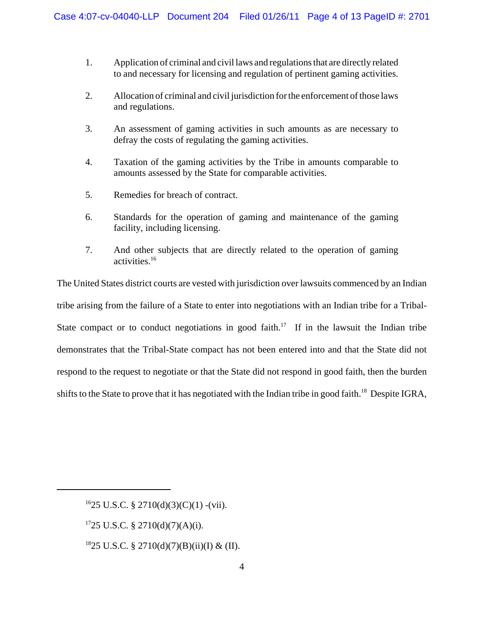- 1. Application of criminal and civil laws and regulations that are directly related to and necessary for licensing and regulation of pertinent gaming activities.
- 2. Allocation of criminal and civil jurisdiction for the enforcement of those laws and regulations.
- 3. An assessment of gaming activities in such amounts as are necessary to defray the costs of regulating the gaming activities.
- 4. Taxation of the gaming activities by the Tribe in amounts comparable to amounts assessed by the State for comparable activities.
- 5. Remedies for breach of contract.
- 6. Standards for the operation of gaming and maintenance of the gaming facility, including licensing.
- 7. And other subjects that are directly related to the operation of gaming activities.16

The United States district courts are vested with jurisdiction over lawsuits commenced by an Indian tribe arising from the failure of a State to enter into negotiations with an Indian tribe for a Tribal-State compact or to conduct negotiations in good faith.<sup>17</sup> If in the lawsuit the Indian tribe demonstrates that the Tribal-State compact has not been entered into and that the State did not respond to the request to negotiate or that the State did not respond in good faith, then the burden shifts to the State to prove that it has negotiated with the Indian tribe in good faith.<sup>18</sup> Despite IGRA,

 $1725$  U.S.C. § 2710(d)(7)(A)(i).

<sup>18</sup>25 U.S.C. § 2710(d)(7)(B)(ii)(I) & (II).

 $1625$  U.S.C. § 2710(d)(3)(C)(1) -(vii).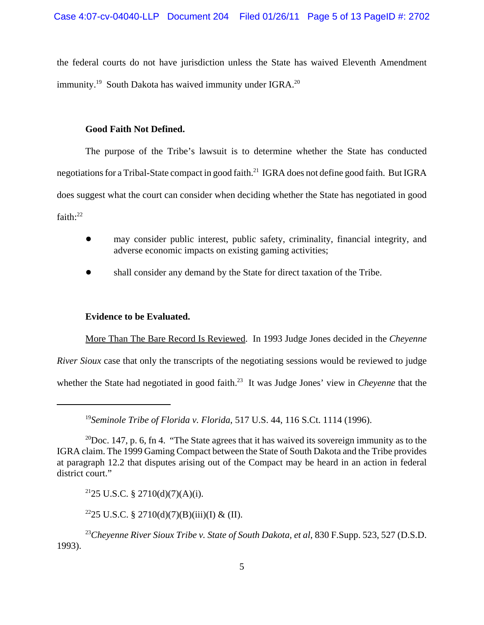the federal courts do not have jurisdiction unless the State has waived Eleventh Amendment immunity.<sup>19</sup> South Dakota has waived immunity under IGRA.<sup>20</sup>

### **Good Faith Not Defined.**

The purpose of the Tribe's lawsuit is to determine whether the State has conducted negotiations for a Tribal-State compact in good faith.<sup>21</sup> IGRA does not define good faith. But IGRA does suggest what the court can consider when deciding whether the State has negotiated in good faith: $22$ 

- ! may consider public interest, public safety, criminality, financial integrity, and adverse economic impacts on existing gaming activities;
- shall consider any demand by the State for direct taxation of the Tribe.

# **Evidence to be Evaluated.**

More Than The Bare Record Is Reviewed. In 1993 Judge Jones decided in the *Cheyenne River Sioux* case that only the transcripts of the negotiating sessions would be reviewed to judge whether the State had negotiated in good faith.<sup>23</sup> It was Judge Jones' view in *Cheyenne* that the

 $^{21}$ 25 U.S.C. § 2710(d)(7)(A)(i).

<sup>22</sup>25 U.S.C. § 2710(d)(7)(B)(iii)(I) & (II).

<sup>23</sup>Cheyenne River Sioux Tribe v. State of South Dakota, et al, 830 F.Supp. 523, 527 (D.S.D.) 1993).

<sup>19</sup>*Seminole Tribe of Florida v. Florida*, 517 U.S. 44, 116 S.Ct. 1114 (1996).

<sup>&</sup>lt;sup>20</sup>Doc. 147, p. 6, fn 4. "The State agrees that it has waived its sovereign immunity as to the IGRA claim. The 1999 Gaming Compact between the State of South Dakota and the Tribe provides at paragraph 12.2 that disputes arising out of the Compact may be heard in an action in federal district court."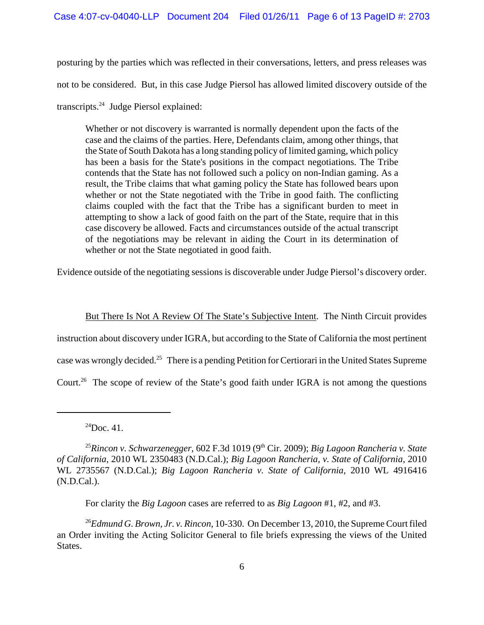posturing by the parties which was reflected in their conversations, letters, and press releases was not to be considered. But, in this case Judge Piersol has allowed limited discovery outside of the transcripts.24 Judge Piersol explained:

Whether or not discovery is warranted is normally dependent upon the facts of the case and the claims of the parties. Here, Defendants claim, among other things, that the State of South Dakota has a long standing policy of limited gaming, which policy has been a basis for the State's positions in the compact negotiations. The Tribe contends that the State has not followed such a policy on non-Indian gaming. As a result, the Tribe claims that what gaming policy the State has followed bears upon whether or not the State negotiated with the Tribe in good faith. The conflicting claims coupled with the fact that the Tribe has a significant burden to meet in attempting to show a lack of good faith on the part of the State, require that in this case discovery be allowed. Facts and circumstances outside of the actual transcript of the negotiations may be relevant in aiding the Court in its determination of whether or not the State negotiated in good faith.

Evidence outside of the negotiating sessions is discoverable under Judge Piersol's discovery order.

But There Is Not A Review Of The State's Subjective Intent. The Ninth Circuit provides instruction about discovery under IGRA, but according to the State of California the most pertinent case was wrongly decided.25 There is a pending Petition for Certiorari in the United States Supreme Court.<sup>26</sup> The scope of review of the State's good faith under IGRA is not among the questions

For clarity the *Big Lagoon* cases are referred to as *Big Lagoon* #1, #2, and #3.

 $^{24}$ Doc. 41.

<sup>&</sup>lt;sup>25</sup>Rincon v. Schwarzenegger, 602 F.3d 1019 (9<sup>th</sup> Cir. 2009); *Big Lagoon Rancheria v. State of California*, 2010 WL 2350483 (N.D.Cal.); *Big Lagoon Rancheria, v. State of California*, 2010 WL 2735567 (N.D.Cal.); *Big Lagoon Rancheria v. State of California*, 2010 WL 4916416 (N.D.Cal.).

<sup>26</sup>*Edmund G. Brown, Jr. v. Rincon*, 10-330. On December 13, 2010, the Supreme Court filed an Order inviting the Acting Solicitor General to file briefs expressing the views of the United States.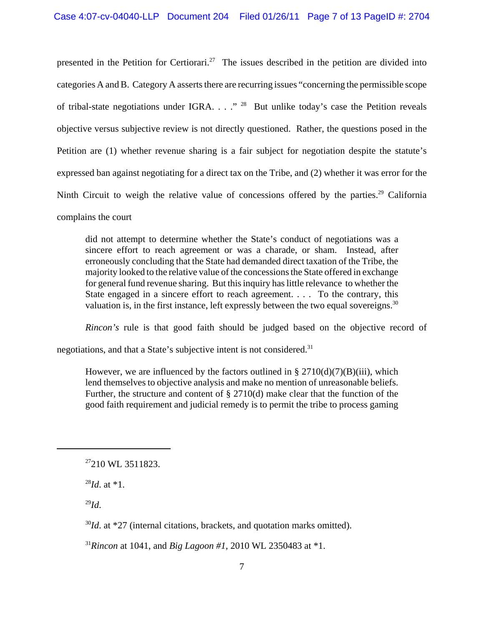presented in the Petition for Certiorari.<sup>27</sup> The issues described in the petition are divided into categories A and B. Category A asserts there are recurring issues "concerning the permissible scope of tribal-state negotiations under IGRA. . . ."<sup>28</sup> But unlike today's case the Petition reveals objective versus subjective review is not directly questioned. Rather, the questions posed in the Petition are (1) whether revenue sharing is a fair subject for negotiation despite the statute's expressed ban against negotiating for a direct tax on the Tribe, and (2) whether it was error for the Ninth Circuit to weigh the relative value of concessions offered by the parties.<sup>29</sup> California complains the court

did not attempt to determine whether the State's conduct of negotiations was a sincere effort to reach agreement or was a charade, or sham. Instead, after erroneously concluding that the State had demanded direct taxation of the Tribe, the majority looked to the relative value of the concessions the State offered in exchange for general fund revenue sharing. But this inquiry has little relevance to whether the State engaged in a sincere effort to reach agreement. . . . To the contrary, this valuation is, in the first instance, left expressly between the two equal sovereigns.<sup>30</sup>

*Rincon's* rule is that good faith should be judged based on the objective record of

negotiations, and that a State's subjective intent is not considered.<sup>31</sup>

However, we are influenced by the factors outlined in  $\S 2710(d)(7)(B)(iii)$ , which lend themselves to objective analysis and make no mention of unreasonable beliefs. Further, the structure and content of § 2710(d) make clear that the function of the good faith requirement and judicial remedy is to permit the tribe to process gaming

 $^{28}Id$ . at  $*1$ .

 $^{29}Id.$ 

<sup>30</sup>*Id*. at \*27 (internal citations, brackets, and quotation marks omitted).

<sup>&</sup>lt;sup>27</sup>210 WL 3511823.

<sup>31</sup>*Rincon* at 1041, and *Big Lagoon #1,* 2010 WL 2350483 at \*1.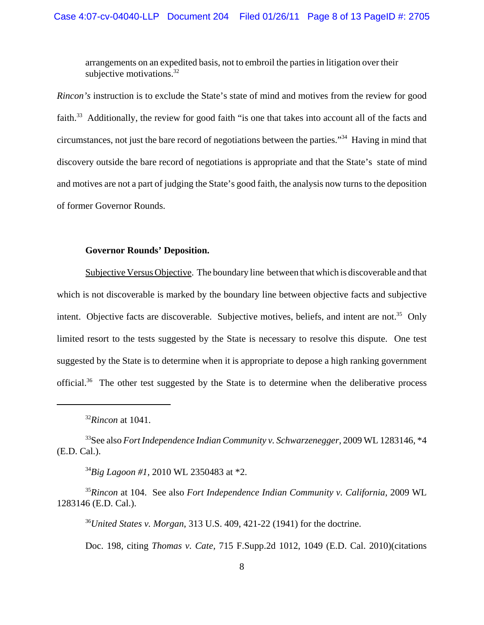arrangements on an expedited basis, not to embroil the parties in litigation over their subjective motivations.<sup>32</sup>

*Rincon's* instruction is to exclude the State's state of mind and motives from the review for good faith.<sup>33</sup> Additionally, the review for good faith "is one that takes into account all of the facts and circumstances, not just the bare record of negotiations between the parties."34 Having in mind that discovery outside the bare record of negotiations is appropriate and that the State's state of mind and motives are not a part of judging the State's good faith, the analysis now turns to the deposition of former Governor Rounds.

#### **Governor Rounds' Deposition.**

Subjective Versus Objective. The boundary line between that which is discoverable and that which is not discoverable is marked by the boundary line between objective facts and subjective intent. Objective facts are discoverable. Subjective motives, beliefs, and intent are not.<sup>35</sup> Only limited resort to the tests suggested by the State is necessary to resolve this dispute. One test suggested by the State is to determine when it is appropriate to depose a high ranking government official.36 The other test suggested by the State is to determine when the deliberative process

<sup>34</sup>*Big Lagoon #1,* 2010 WL 2350483 at \*2.

<sup>35</sup>*Rincon* at 104. See also *Fort Independence Indian Community v. California,* 2009 WL 1283146 (E.D. Cal.).

<sup>36</sup>*United States v. Morgan*, 313 U.S. 409, 421-22 (1941) for the doctrine.

Doc. 198, citing *Thomas v. Cate,* 715 F.Supp.2d 1012, 1049 (E.D. Cal. 2010)(citations

<sup>32</sup>*Rincon* at 1041.

<sup>33</sup>See also *Fort Independence Indian Community v. Schwarzenegger*, 2009 WL 1283146, \*4 (E.D. Cal.).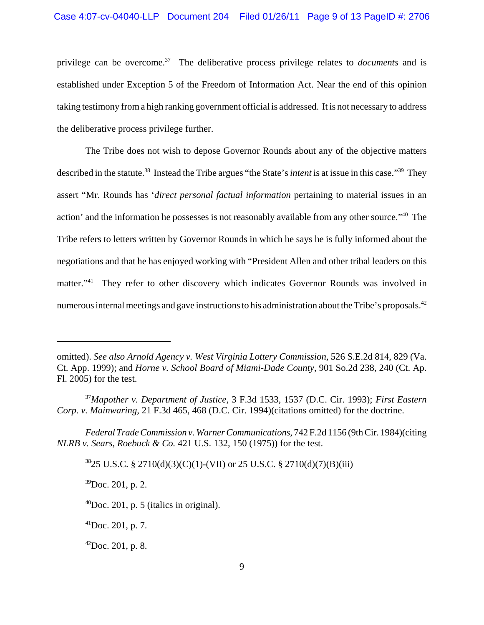privilege can be overcome.<sup>37</sup> The deliberative process privilege relates to *documents* and is established under Exception 5 of the Freedom of Information Act. Near the end of this opinion taking testimony from a high ranking government official is addressed. It is not necessary to address the deliberative process privilege further.

The Tribe does not wish to depose Governor Rounds about any of the objective matters described in the statute.<sup>38</sup> Instead the Tribe argues "the State's *intent* is at issue in this case."<sup>39</sup> They assert "Mr. Rounds has '*direct personal factual information* pertaining to material issues in an action' and the information he possesses is not reasonably available from any other source."40 The Tribe refers to letters written by Governor Rounds in which he says he is fully informed about the negotiations and that he has enjoyed working with "President Allen and other tribal leaders on this matter."<sup>41</sup> They refer to other discovery which indicates Governor Rounds was involved in numerous internal meetings and gave instructions to his administration about the Tribe's proposals.<sup>42</sup>

 $3825$  U.S.C. § 2710(d)(3)(C)(1)-(VII) or 25 U.S.C. § 2710(d)(7)(B)(iii)

 $39$ Doc. 201, p. 2.

 $^{41}$ Doc. 201, p. 7.

 $^{42}$ Doc. 201, p. 8.

omitted). *See also Arnold Agency v. West Virginia Lottery Commission*, 526 S.E.2d 814, 829 (Va. Ct. App. 1999); and *Horne v. School Board of Miami-Dade County*, 901 So.2d 238, 240 (Ct. Ap. Fl. 2005) for the test.

<sup>37</sup>*Mapother v. Department of Justice*, 3 F.3d 1533, 1537 (D.C. Cir. 1993); *First Eastern Corp. v. Mainwaring,* 21 F.3d 465, 468 (D.C. Cir. 1994)(citations omitted) for the doctrine.

*Federal Trade Commission v. Warner Communications*, 742 F.2d 1156 (9th Cir. 1984)(citing *NLRB v. Sears, Roebuck & Co.* 421 U.S. 132, 150 (1975)) for the test.

 $^{40}$ Doc. 201, p. 5 (italics in original).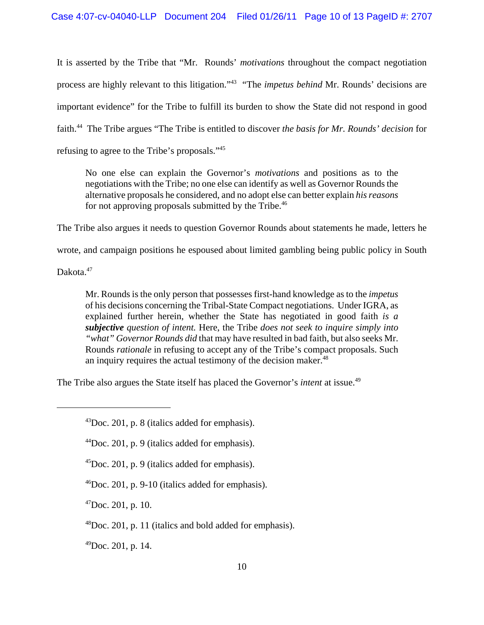It is asserted by the Tribe that "Mr. Rounds' *motivations* throughout the compact negotiation process are highly relevant to this litigation."43 "The *impetus behind* Mr. Rounds' decisions are important evidence" for the Tribe to fulfill its burden to show the State did not respond in good faith.44 The Tribe argues "The Tribe is entitled to discover *the basis for Mr. Rounds' decision* for refusing to agree to the Tribe's proposals."45

No one else can explain the Governor's *motivations* and positions as to the negotiations with the Tribe; no one else can identify as well as Governor Rounds the alternative proposals he considered, and no adopt else can better explain *his reasons* for not approving proposals submitted by the Tribe.<sup>46</sup>

The Tribe also argues it needs to question Governor Rounds about statements he made, letters he

wrote, and campaign positions he espoused about limited gambling being public policy in South

Dakota.<sup>47</sup>

Mr. Rounds is the only person that possesses first-hand knowledge as to the *impetus* of his decisions concerning the Tribal-State Compact negotiations. Under IGRA, as explained further herein, whether the State has negotiated in good faith *is a subjective question of intent.* Here, the Tribe *does not seek to inquire simply into "what" Governor Rounds did* that may have resulted in bad faith, but also seeks Mr. Rounds *rationale* in refusing to accept any of the Tribe's compact proposals. Such an inquiry requires the actual testimony of the decision maker. $48$ 

The Tribe also argues the State itself has placed the Governor's *intent* at issue.49

 $^{47}$ Doc. 201, p. 10.

 $^{48}$ Doc. 201, p. 11 (italics and bold added for emphasis).

 $^{49}$ Doc. 201, p. 14.

 $^{43}$ Doc. 201, p. 8 (italics added for emphasis).

 $^{44}$ Doc. 201, p. 9 (italics added for emphasis).

 $^{45}$ Doc. 201, p. 9 (italics added for emphasis).

 $^{46}$ Doc. 201, p. 9-10 (italics added for emphasis).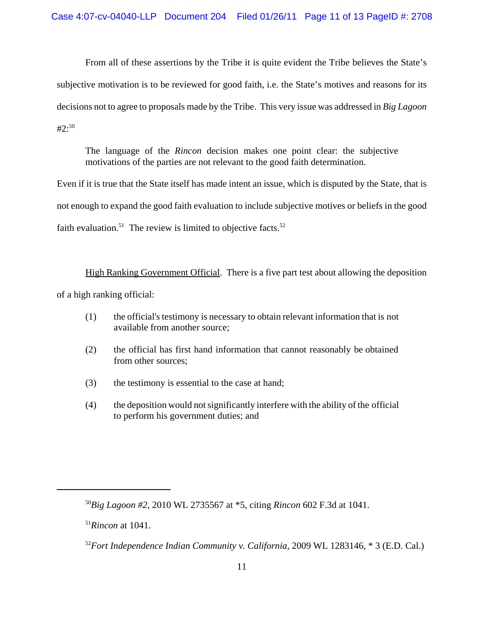From all of these assertions by the Tribe it is quite evident the Tribe believes the State's subjective motivation is to be reviewed for good faith, i.e. the State's motives and reasons for its decisions not to agree to proposals made by the Tribe. This very issue was addressed in *Big Lagoon*  $#2:50$ 

The language of the *Rincon* decision makes one point clear: the subjective motivations of the parties are not relevant to the good faith determination.

Even if it is true that the State itself has made intent an issue, which is disputed by the State, that is not enough to expand the good faith evaluation to include subjective motives or beliefs in the good faith evaluation.<sup>51</sup> The review is limited to objective facts.<sup>52</sup>

High Ranking Government Official. There is a five part test about allowing the deposition of a high ranking official:

- (1) the official's testimony is necessary to obtain relevant information that is not available from another source;
- (2) the official has first hand information that cannot reasonably be obtained from other sources;
- (3) the testimony is essential to the case at hand;
- (4) the deposition would not significantly interfere with the ability of the official to perform his government duties; and

<sup>50</sup>*Big Lagoon #2,* 2010 WL 2735567 at \*5, citing *Rincon* 602 F.3d at 1041.

<sup>51</sup>*Rincon* at 1041.

<sup>52</sup>*Fort Independence Indian Community v. California,* 2009 WL 1283146, \* 3 (E.D. Cal.)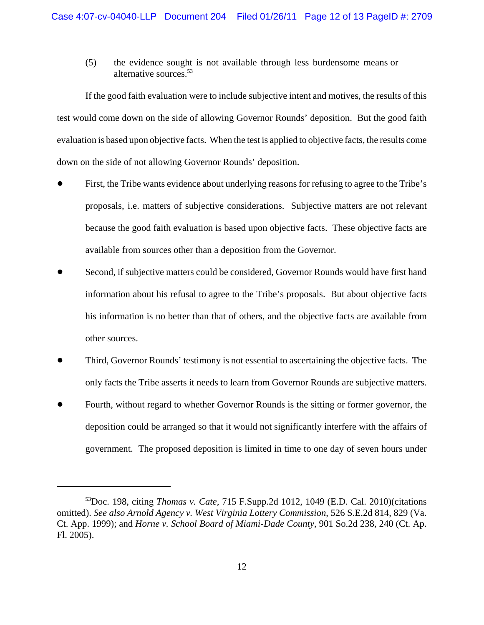(5) the evidence sought is not available through less burdensome means or alternative sources.53

If the good faith evaluation were to include subjective intent and motives, the results of this test would come down on the side of allowing Governor Rounds' deposition. But the good faith evaluation is based upon objective facts. When the test is applied to objective facts, the results come down on the side of not allowing Governor Rounds' deposition.

- ! First, the Tribe wants evidence about underlying reasons for refusing to agree to the Tribe's proposals, i.e. matters of subjective considerations. Subjective matters are not relevant because the good faith evaluation is based upon objective facts. These objective facts are available from sources other than a deposition from the Governor.
- Second, if subjective matters could be considered, Governor Rounds would have first hand information about his refusal to agree to the Tribe's proposals. But about objective facts his information is no better than that of others, and the objective facts are available from other sources.
- ! Third, Governor Rounds' testimony is not essential to ascertaining the objective facts. The only facts the Tribe asserts it needs to learn from Governor Rounds are subjective matters.
- ! Fourth, without regard to whether Governor Rounds is the sitting or former governor, the deposition could be arranged so that it would not significantly interfere with the affairs of government. The proposed deposition is limited in time to one day of seven hours under

<sup>53</sup>Doc. 198, citing *Thomas v. Cate,* 715 F.Supp.2d 1012, 1049 (E.D. Cal. 2010)(citations omitted). *See also Arnold Agency v. West Virginia Lottery Commission*, 526 S.E.2d 814, 829 (Va. Ct. App. 1999); and *Horne v. School Board of Miami-Dade County*, 901 So.2d 238, 240 (Ct. Ap. Fl. 2005).